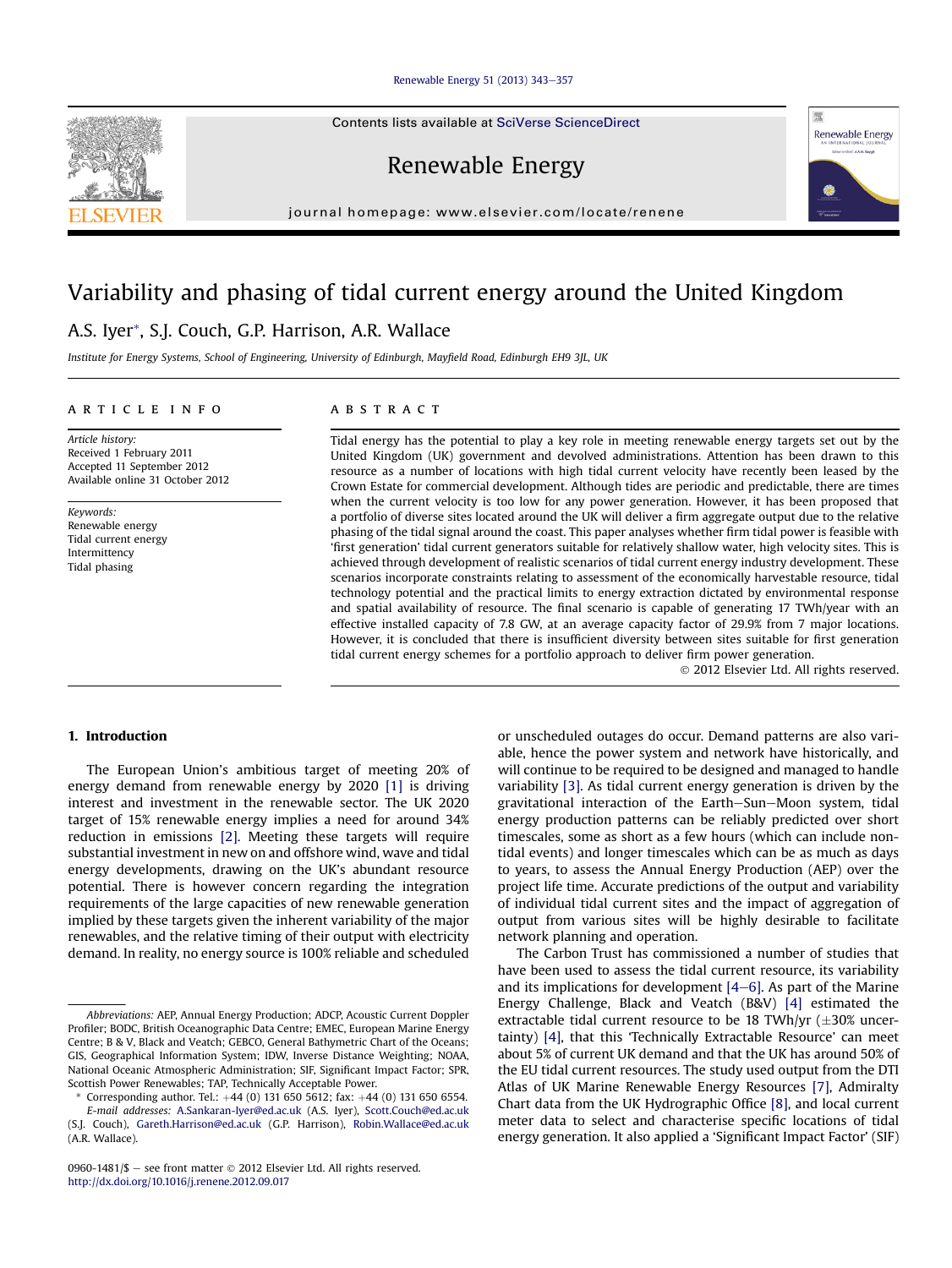#### [Renewable Energy 51 \(2013\) 343](http://dx.doi.org/10.1016/j.renene.2012.09.017)-[357](http://dx.doi.org/10.1016/j.renene.2012.09.017)

Contents lists available at SciVerse ScienceDirect

Renewable Energy

journal homepage: [www.elsevier.com/locate/renene](http://www.elsevier.com/locate/renene)

## Variability and phasing of tidal current energy around the United Kingdom

### A.S. Iyer\*, S.J. Couch, G.P. Harrison, A.R. Wallace

Institute for Energy Systems, School of Engineering, University of Edinburgh, Mayfield Road, Edinburgh EH9 3JL, UK

#### article info

Article history: Received 1 February 2011 Accepted 11 September 2012 Available online 31 October 2012

Keywords: Renewable energy Tidal current energy Intermittency Tidal phasing

#### **ABSTRACT**

Tidal energy has the potential to play a key role in meeting renewable energy targets set out by the United Kingdom (UK) government and devolved administrations. Attention has been drawn to this resource as a number of locations with high tidal current velocity have recently been leased by the Crown Estate for commercial development. Although tides are periodic and predictable, there are times when the current velocity is too low for any power generation. However, it has been proposed that a portfolio of diverse sites located around the UK will deliver a firm aggregate output due to the relative phasing of the tidal signal around the coast. This paper analyses whether firm tidal power is feasible with 'first generation' tidal current generators suitable for relatively shallow water, high velocity sites. This is achieved through development of realistic scenarios of tidal current energy industry development. These scenarios incorporate constraints relating to assessment of the economically harvestable resource, tidal technology potential and the practical limits to energy extraction dictated by environmental response and spatial availability of resource. The final scenario is capable of generating 17 TWh/year with an effective installed capacity of 7.8 GW, at an average capacity factor of 29.9% from 7 major locations. However, it is concluded that there is insufficient diversity between sites suitable for first generation tidal current energy schemes for a portfolio approach to deliver firm power generation.

2012 Elsevier Ltd. All rights reserved.

#### 1. Introduction

The European Union's ambitious target of meeting 20% of energy demand from renewable energy by 2020 [\[1\]](#page--1-0) is driving interest and investment in the renewable sector. The UK 2020 target of 15% renewable energy implies a need for around 34% reduction in emissions [\[2\].](#page--1-0) Meeting these targets will require substantial investment in new on and offshore wind, wave and tidal energy developments, drawing on the UK's abundant resource potential. There is however concern regarding the integration requirements of the large capacities of new renewable generation implied by these targets given the inherent variability of the major renewables, and the relative timing of their output with electricity demand. In reality, no energy source is 100% reliable and scheduled

or unscheduled outages do occur. Demand patterns are also variable, hence the power system and network have historically, and will continue to be required to be designed and managed to handle variability [\[3\]](#page--1-0). As tidal current energy generation is driven by the gravitational interaction of the Earth–Sun–Moon system, tidal energy production patterns can be reliably predicted over short timescales, some as short as a few hours (which can include nontidal events) and longer timescales which can be as much as days to years, to assess the Annual Energy Production (AEP) over the project life time. Accurate predictions of the output and variability of individual tidal current sites and the impact of aggregation of output from various sites will be highly desirable to facilitate network planning and operation.

The Carbon Trust has commissioned a number of studies that have been used to assess the tidal current resource, its variability and its implications for development  $[4-6]$  $[4-6]$  $[4-6]$ . As part of the Marine Energy Challenge, Black and Veatch (B&V) [\[4\]](#page--1-0) estimated the extractable tidal current resource to be 18 TWh/yr  $(\pm 30\%$  uncertainty) [\[4\],](#page--1-0) that this 'Technically Extractable Resource' can meet about 5% of current UK demand and that the UK has around 50% of the EU tidal current resources. The study used output from the DTI Atlas of UK Marine Renewable Energy Resources [\[7\]](#page--1-0), Admiralty Chart data from the UK Hydrographic Office [\[8\]](#page--1-0), and local current meter data to select and characterise specific locations of tidal energy generation. It also applied a 'Significant Impact Factor' (SIF)





Abbreviations: AEP, Annual Energy Production; ADCP, Acoustic Current Doppler Profiler; BODC, British Oceanographic Data Centre; EMEC, European Marine Energy Centre; B & V, Black and Veatch; GEBCO, General Bathymetric Chart of the Oceans; GIS, Geographical Information System; IDW, Inverse Distance Weighting; NOAA, National Oceanic Atmospheric Administration; SIF, Significant Impact Factor; SPR, Scottish Power Renewables; TAP, Technically Acceptable Power.

Corresponding author. Tel.:  $+44$  (0) 131 650 5612; fax:  $+44$  (0) 131 650 6554. E-mail addresses: [A.Sankaran-Iyer@ed.ac.uk](mailto:A.Sankaran-Iyer@ed.ac.uk) (A.S. Iyer), [Scott.Couch@ed.ac.uk](mailto:Scott.Couch@ed.ac.uk) (S.J. Couch), [Gareth.Harrison@ed.ac.uk](mailto:Gareth.Harrison@ed.ac.uk) (G.P. Harrison), [Robin.Wallace@ed.ac.uk](mailto:Robin.Wallace@ed.ac.uk) (A.R. Wallace).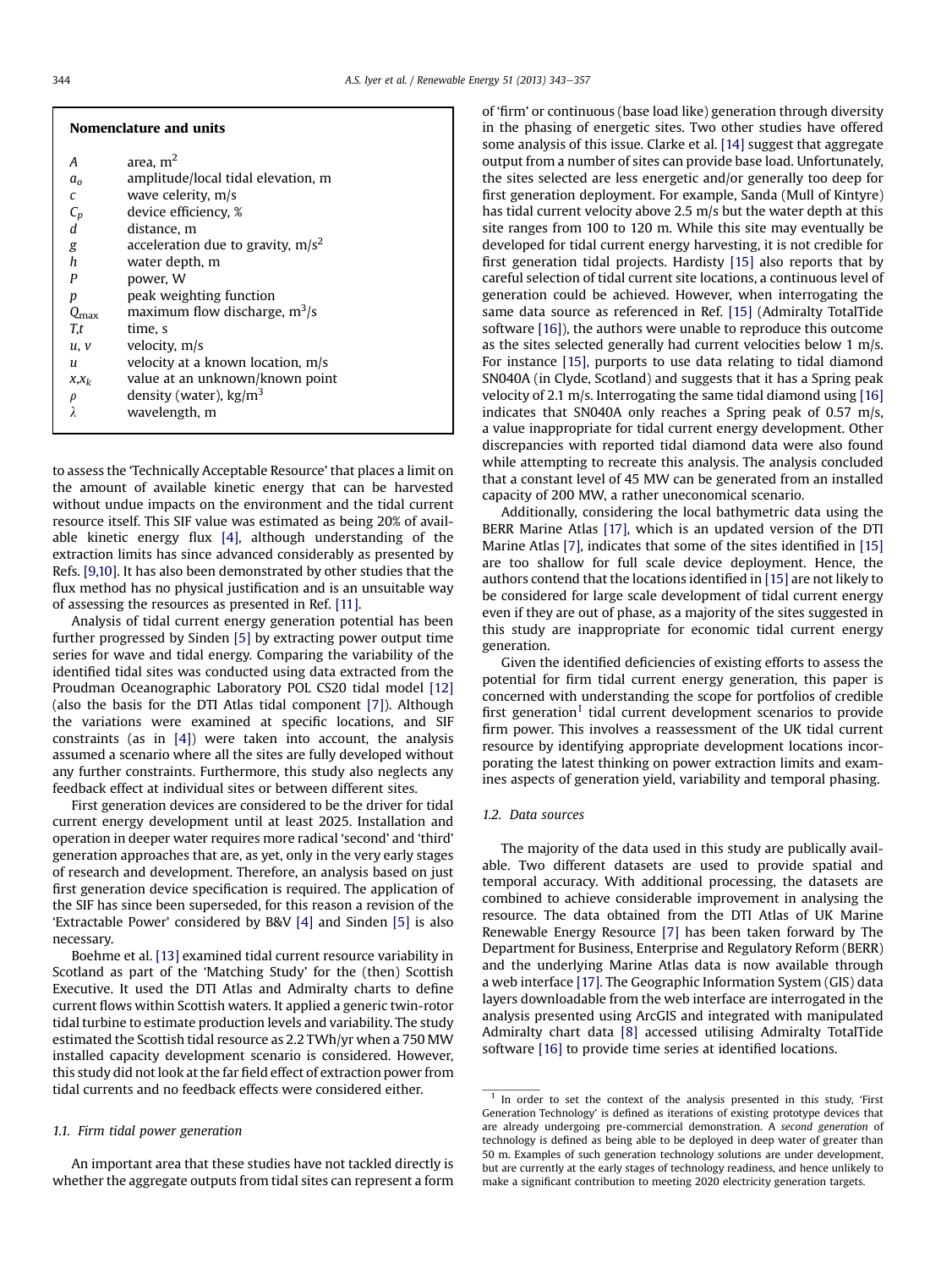| <b>Nomenclature and units</b>                                                                            |                                                                                                                                                                                                                                                   |
|----------------------------------------------------------------------------------------------------------|---------------------------------------------------------------------------------------------------------------------------------------------------------------------------------------------------------------------------------------------------|
| А<br>a <sub>o</sub><br>C<br>$\begin{array}{c} C_p \\ d \end{array}$<br>$\mathop{g}\limits_{h}$<br>P<br>р | area. $m2$<br>amplitude/local tidal elevation, m<br>wave celerity, m/s<br>device efficiency, %<br>distance, m<br>acceleration due to gravity, $m/s^2$<br>water depth, m<br>power, W<br>peak weighting function<br>maximum flow discharge, $m^3/s$ |
| $Q_{\rm max}$<br>T,t<br>u, v<br>$\mathfrak u$<br>$x, x_k$<br>$\rho$                                      | time, s<br>velocity, m/s<br>velocity at a known location, m/s<br>value at an unknown/known point<br>density (water), $\text{kg/m}^3$<br>wavelength, m                                                                                             |
|                                                                                                          |                                                                                                                                                                                                                                                   |

to assess the 'Technically Acceptable Resource' that places a limit on the amount of available kinetic energy that can be harvested without undue impacts on the environment and the tidal current resource itself. This SIF value was estimated as being 20% of available kinetic energy flux [\[4\]](#page--1-0), although understanding of the extraction limits has since advanced considerably as presented by Refs. [\[9,10\]](#page--1-0). It has also been demonstrated by other studies that the flux method has no physical justification and is an unsuitable way of assessing the resources as presented in Ref. [\[11\]](#page--1-0).

Analysis of tidal current energy generation potential has been further progressed by Sinden [\[5\]](#page--1-0) by extracting power output time series for wave and tidal energy. Comparing the variability of the identified tidal sites was conducted using data extracted from the Proudman Oceanographic Laboratory POL CS20 tidal model [\[12\]](#page--1-0) (also the basis for the DTI Atlas tidal component [\[7\]](#page--1-0)). Although the variations were examined at specific locations, and SIF constraints (as in [\[4\]\)](#page--1-0) were taken into account, the analysis assumed a scenario where all the sites are fully developed without any further constraints. Furthermore, this study also neglects any feedback effect at individual sites or between different sites.

First generation devices are considered to be the driver for tidal current energy development until at least 2025. Installation and operation in deeper water requires more radical 'second' and 'third' generation approaches that are, as yet, only in the very early stages of research and development. Therefore, an analysis based on just first generation device specification is required. The application of the SIF has since been superseded, for this reason a revision of the 'Extractable Power' considered by B&V [\[4\]](#page--1-0) and Sinden [\[5\]](#page--1-0) is also necessary.

Boehme et al. [\[13\]](#page--1-0) examined tidal current resource variability in Scotland as part of the 'Matching Study' for the (then) Scottish Executive. It used the DTI Atlas and Admiralty charts to define current flows within Scottish waters. It applied a generic twin-rotor tidal turbine to estimate production levels and variability. The study estimated the Scottish tidal resource as 2.2 TWh/yr when a 750 MW installed capacity development scenario is considered. However, this study did not look at the far field effect of extraction power from tidal currents and no feedback effects were considered either.

#### 1.1. Firm tidal power generation

An important area that these studies have not tackled directly is whether the aggregate outputs from tidal sites can represent a form of 'firm' or continuous (base load like) generation through diversity in the phasing of energetic sites. Two other studies have offered some analysis of this issue. Clarke et al. [\[14\]](#page--1-0) suggest that aggregate output from a number of sites can provide base load. Unfortunately, the sites selected are less energetic and/or generally too deep for first generation deployment. For example, Sanda (Mull of Kintyre) has tidal current velocity above 2.5 m/s but the water depth at this site ranges from 100 to 120 m. While this site may eventually be developed for tidal current energy harvesting, it is not credible for first generation tidal projects. Hardisty [\[15\]](#page--1-0) also reports that by careful selection of tidal current site locations, a continuous level of generation could be achieved. However, when interrogating the same data source as referenced in Ref. [\[15\]](#page--1-0) (Admiralty TotalTide software [\[16\]\)](#page--1-0), the authors were unable to reproduce this outcome as the sites selected generally had current velocities below 1 m/s. For instance [\[15\],](#page--1-0) purports to use data relating to tidal diamond SN040A (in Clyde, Scotland) and suggests that it has a Spring peak velocity of 2.1 m/s. Interrogating the same tidal diamond using [\[16\]](#page--1-0) indicates that SN040A only reaches a Spring peak of 0.57 m/s, a value inappropriate for tidal current energy development. Other discrepancies with reported tidal diamond data were also found while attempting to recreate this analysis. The analysis concluded that a constant level of 45 MW can be generated from an installed capacity of 200 MW, a rather uneconomical scenario.

Additionally, considering the local bathymetric data using the BERR Marine Atlas [\[17\]](#page--1-0), which is an updated version of the DTI Marine Atlas [\[7\]](#page--1-0), indicates that some of the sites identified in [\[15\]](#page--1-0) are too shallow for full scale device deployment. Hence, the authors contend that the locations identified in [\[15\]](#page--1-0) are not likely to be considered for large scale development of tidal current energy even if they are out of phase, as a majority of the sites suggested in this study are inappropriate for economic tidal current energy generation.

Given the identified deficiencies of existing efforts to assess the potential for firm tidal current energy generation, this paper is concerned with understanding the scope for portfolios of credible first generation<sup>1</sup> tidal current development scenarios to provide firm power. This involves a reassessment of the UK tidal current resource by identifying appropriate development locations incorporating the latest thinking on power extraction limits and examines aspects of generation yield, variability and temporal phasing.

#### 1.2. Data sources

The majority of the data used in this study are publically available. Two different datasets are used to provide spatial and temporal accuracy. With additional processing, the datasets are combined to achieve considerable improvement in analysing the resource. The data obtained from the DTI Atlas of UK Marine Renewable Energy Resource [\[7\]](#page--1-0) has been taken forward by The Department for Business, Enterprise and Regulatory Reform (BERR) and the underlying Marine Atlas data is now available through a web interface [\[17\]](#page--1-0). The Geographic Information System (GIS) data layers downloadable from the web interface are interrogated in the analysis presented using ArcGIS and integrated with manipulated Admiralty chart data [\[8\]](#page--1-0) accessed utilising Admiralty TotalTide software [\[16\]](#page--1-0) to provide time series at identified locations.

<sup>&</sup>lt;sup>1</sup> In order to set the context of the analysis presented in this study, 'First Generation Technology' is defined as iterations of existing prototype devices that are already undergoing pre-commercial demonstration. A second generation of technology is defined as being able to be deployed in deep water of greater than 50 m. Examples of such generation technology solutions are under development, but are currently at the early stages of technology readiness, and hence unlikely to make a significant contribution to meeting 2020 electricity generation targets.